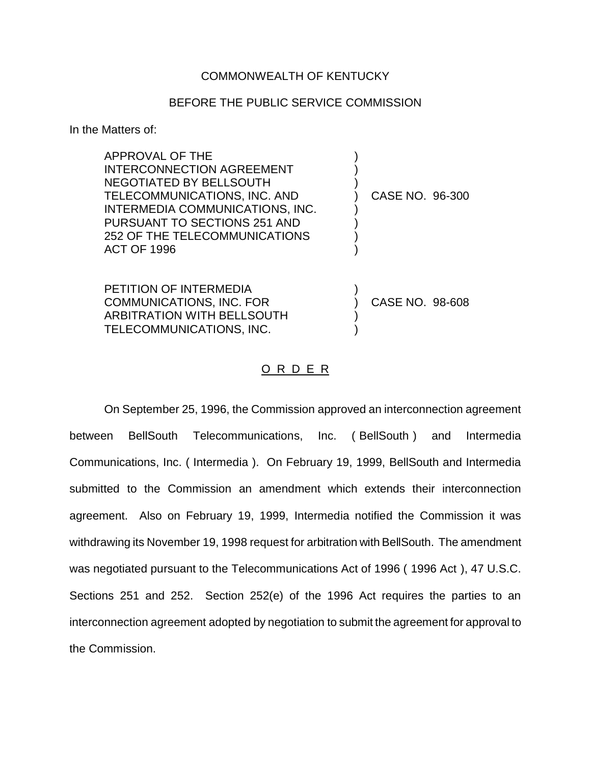## COMMONWEALTH OF KENTUCKY

## BEFORE THE PUBLIC SERVICE COMMISSION

In the Matters of:

| APPROVAL OF THE<br><b>INTERCONNECTION AGREEMENT</b><br>NEGOTIATED BY BELLSOUTH<br>TELECOMMUNICATIONS, INC. AND<br>INTERMEDIA COMMUNICATIONS, INC.<br>PURSUANT TO SECTIONS 251 AND<br>252 OF THE TELECOMMUNICATIONS<br><b>ACT OF 1996</b> | CASE NO. 96-300 |  |
|------------------------------------------------------------------------------------------------------------------------------------------------------------------------------------------------------------------------------------------|-----------------|--|
| <b>PETITION OF INTERMEDIA</b><br><b>COMMUNICATIONS, INC. FOR</b><br><b>ARBITRATION WITH BELLSOUTH</b><br>TELECOMMUNICATIONS, INC.                                                                                                        | CASE NO. 98-608 |  |

## O R D E R

On September 25, 1996, the Commission approved an interconnection agreement between BellSouth Telecommunications, Inc. ( BellSouth ) and Intermedia Communications, Inc. ( Intermedia ). On February 19, 1999, BellSouth and Intermedia submitted to the Commission an amendment which extends their interconnection agreement. Also on February 19, 1999, Intermedia notified the Commission it was withdrawing its November 19, 1998 request for arbitration with BellSouth. The amendment was negotiated pursuant to the Telecommunications Act of 1996 ( 1996 Act ), 47 U.S.C. Sections 251 and 252. Section 252(e) of the 1996 Act requires the parties to an interconnection agreement adopted by negotiation to submit the agreement for approval to the Commission.